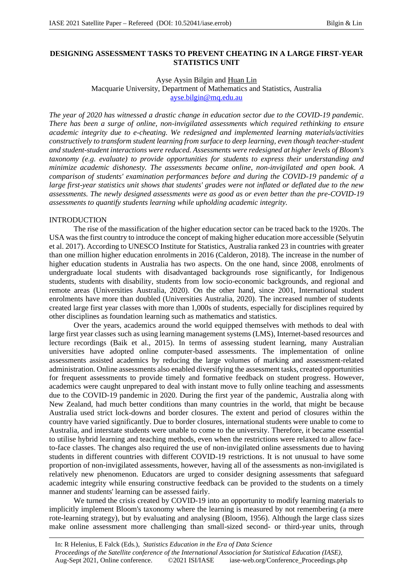# **DESIGNING ASSESSMENT TASKS TO PREVENT CHEATING IN A LARGE FIRST-YEAR STATISTICS UNIT**

### Ayse Aysin Bilgin and Huan Lin

Macquarie University, Department of Mathematics and Statistics, Australia ayse.bilgin@mq.edu.au

*The year of 2020 has witnessed a drastic change in education sector due to the COVID-19 pandemic. There has been a surge of online, non-invigilated assessments which required rethinking to ensure academic integrity due to e-cheating. We redesigned and implemented learning materials/activities constructively to transform student learning from surface to deep learning, even though teacher-student and student-student interactions were reduced. Assessments were redesigned at higher levels of Bloom's taxonomy (e.g. evaluate) to provide opportunities for students to express their understanding and minimize academic dishonesty. The assessments became online, non-invigilated and open book. A comparison of students' examination performances before and during the COVID-19 pandemic of a large first-year statistics unit shows that students' grades were not inflated or deflated due to the new assessments. The newly designed assessments were as good as or even better than the pre-COVID-19 assessments to quantify students learning while upholding academic integrity.*

## INTRODUCTION

The rise of the massification of the higher education sector can be traced back to the 1920s. The USA was the first country to introduce the concept of making higher education more accessible (Selyutin et al. 2017). According to UNESCO Institute for Statistics, Australia ranked 23 in countries with greater than one million higher education enrolments in 2016 (Calderon, 2018). The increase in the number of higher education students in Australia has two aspects. On the one hand, since 2008, enrolments of undergraduate local students with disadvantaged backgrounds rose significantly, for Indigenous students, students with disability, students from low socio-economic backgrounds, and regional and remote areas (Universities Australia, 2020). On the other hand, since 2001, International student enrolments have more than doubled (Universities Australia, 2020). The increased number of students created large first year classes with more than 1,000s of students, especially for disciplines required by other disciplines as foundation learning such as mathematics and statistics.

Over the years, academics around the world equipped themselves with methods to deal with large first year classes such as using learning management systems (LMS), Internet-based resources and lecture recordings (Baik et al., 2015). In terms of assessing student learning, many Australian universities have adopted online computer-based assessments. The implementation of online assessments assisted academics by reducing the large volumes of marking and assessment-related administration. Online assessments also enabled diversifying the assessment tasks, created opportunities for frequent assessments to provide timely and formative feedback on student progress. However, academics were caught unprepared to deal with instant move to fully online teaching and assessments due to the COVID-19 pandemic in 2020. During the first year of the pandemic, Australia along with New Zealand, had much better conditions than many countries in the world, that might be because Australia used strict lock-downs and border closures. The extent and period of closures within the country have varied significantly. Due to border closures, international students were unable to come to Australia, and interstate students were unable to come to the university. Therefore, it became essential to utilise hybrid learning and teaching methods, even when the restrictions were relaxed to allow faceto-face classes. The changes also required the use of non-invigilated online assessments due to having students in different countries with different COVID-19 restrictions. It is not unusual to have some proportion of non-invigilated assessments, however, having all of the assessments as non-invigilated is relatively new phenomenon. Educators are urged to consider designing assessments that safeguard academic integrity while ensuring constructive feedback can be provided to the students on a timely manner and students' learning can be assessed fairly.

We turned the crisis created by COVID-19 into an opportunity to modify learning materials to implicitly implement Bloom's taxonomy where the learning is measured by not remembering (a mere rote-learning strategy), but by evaluating and analysing (Bloom, 1956). Although the large class sizes make online assessment more challenging than small-sized second- or third-year units, through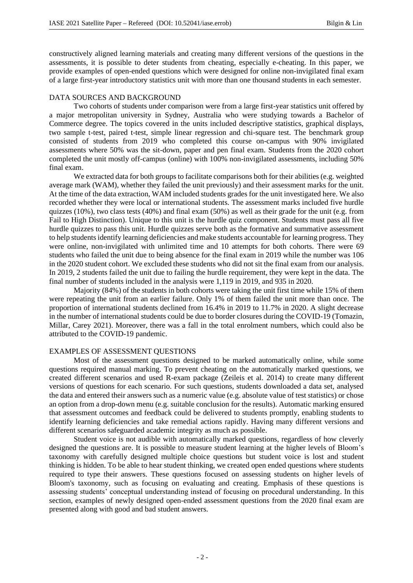constructively aligned learning materials and creating many different versions of the questions in the assessments, it is possible to deter students from cheating, especially e-cheating. In this paper, we provide examples of open-ended questions which were designed for online non-invigilated final exam of a large first-year introductory statistics unit with more than one thousand students in each semester.

### DATA SOURCES AND BACKGROUND

Two cohorts of students under comparison were from a large first-year statistics unit offered by a major metropolitan university in Sydney, Australia who were studying towards a Bachelor of Commerce degree. The topics covered in the units included descriptive statistics, graphical displays, two sample t-test, paired t-test, simple linear regression and chi-square test. The benchmark group consisted of students from 2019 who completed this course on-campus with 90% invigilated assessments where 50% was the sit-down, paper and pen final exam. Students from the 2020 cohort completed the unit mostly off-campus (online) with 100% non-invigilated assessments, including 50% final exam.

We extracted data for both groups to facilitate comparisons both for their abilities (e.g. weighted average mark (WAM), whether they failed the unit previously) and their assessment marks for the unit. At the time of the data extraction, WAM included students grades for the unit investigated here. We also recorded whether they were local or international students. The assessment marks included five hurdle quizzes (10%), two class tests (40%) and final exam (50%) as well as their grade for the unit (e.g. from Fail to High Distinction). Unique to this unit is the hurdle quiz component. Students must pass all five hurdle quizzes to pass this unit. Hurdle quizzes serve both as the formative and summative assessment to help students identify learning deficiencies and make students accountable for learning progress. They were online, non-invigilated with unlimited time and 10 attempts for both cohorts. There were 69 students who failed the unit due to being absence for the final exam in 2019 while the number was 106 in the 2020 student cohort. We excluded these students who did not sit the final exam from our analysis. In 2019, 2 students failed the unit due to failing the hurdle requirement, they were kept in the data. The final number of students included in the analysis were 1,119 in 2019, and 935 in 2020.

Majority (84%) of the students in both cohorts were taking the unit first time while 15% of them were repeating the unit from an earlier failure. Only 1% of them failed the unit more than once. The proportion of international students declined from 16.4% in 2019 to 11.7% in 2020. A slight decrease in the number of international students could be due to border closures during the COVID-19 (Tomazin, Millar, Carey 2021). Moreover, there was a fall in the total enrolment numbers, which could also be attributed to the COVID-19 pandemic.

## EXAMPLES OF ASSESSMENT QUESTIONS

Most of the assessment questions designed to be marked automatically online, while some questions required manual marking. To prevent cheating on the automatically marked questions, we created different scenarios and used R-exam package (Zeileis et al. 2014) to create many different versions of questions for each scenario. For such questions, students downloaded a data set, analysed the data and entered their answers such as a numeric value (e.g. absolute value of test statistics) or chose an option from a drop-down menu (e.g. suitable conclusion for the results). Automatic marking ensured that assessment outcomes and feedback could be delivered to students promptly, enabling students to identify learning deficiencies and take remedial actions rapidly. Having many different versions and different scenarios safeguarded academic integrity as much as possible.

Student voice is not audible with automatically marked questions, regardless of how cleverly designed the questions are. It is possible to measure student learning at the higher levels of Bloom's taxonomy with carefully designed multiple choice questions but student voice is lost and student thinking is hidden. To be able to hear student thinking, we created open ended questions where students required to type their answers. These questions focused on assessing students on higher levels of Bloom's taxonomy, such as focusing on evaluating and creating. Emphasis of these questions is assessing students' conceptual understanding instead of focusing on procedural understanding. In this section, examples of newly designed open-ended assessment questions from the 2020 final exam are presented along with good and bad student answers.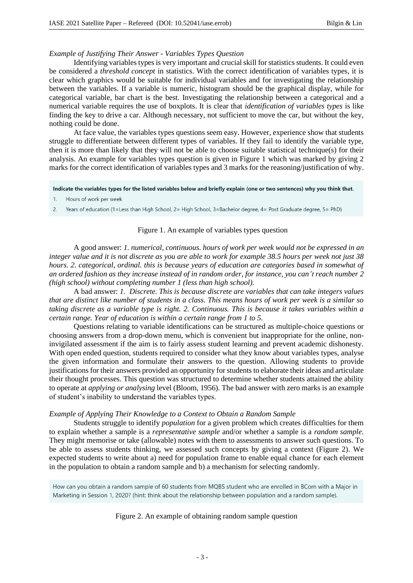#### *Example of Justifying Their Answer - Variables Types Question*

Identifying variables types is very important and crucial skill for statistics students. It could even be considered a *threshold concept* in statistics. With the correct identification of variables types, it is clear which graphics would be suitable for individual variables and for investigating the relationship between the variables. If a variable is numeric, histogram should be the graphical display, while for categorical variable, bar chart is the best. Investigating the relationship between a categorical and a numerical variable requires the use of boxplots. It is clear that *identification of variables types* is like finding the key to drive a car. Although necessary, not sufficient to move the car, but without the key, nothing could be done.

At face value, the variables types questions seem easy. However, experience show that students struggle to differentiate between different types of variables. If they fail to identify the variable type, then it is more than likely that they will not be able to choose suitable statistical technique(s) for their analysis. An example for variables types question is given in Figure 1 which was marked by giving 2 marks for the correct identification of variables types and 3 marks for the reasoning/justification of why.

#### Indicate the variables types for the listed variables below and briefly explain (one or two sentences) why you think that.

- $1<sup>1</sup>$ Hours of work per week
- 2. Years of education (1=Less than High School, 2= High School, 3=Bachelor degree, 4= Post Graduate degree, 5= PhD)

### Figure 1. An example of variables types question

A good answer: *1. numerical, continuous. hours of work per week would not be expressed in an integer value and it is not discrete as you are able to work for example 38.5 hours per week not just 38 hours. 2. categorical, ordinal. this is because years of education are categories based in somewhat of an ordered fashion as they increase instead of in random order, for instance, you can't reach number 2 (high school) without completing number 1 (less than high school).*

A bad answer: *1. Discrete. This is because discrete are variables that can take integers values that are distinct like number of students in a class. This means hours of work per week is a similar so taking discrete as a variable type is right. 2. Continuous. This is because it takes variables within a certain range. Year of education is within a certain range from 1 to 5.*

Questions relating to variable identifications can be structured as multiple-choice questions or choosing answers from a drop-down menu, which is convenient but inappropriate for the online, noninvigilated assessment if the aim is to fairly assess student learning and prevent academic dishonesty. With open ended question, students required to consider what they know about variables types, analyse the given information and formulate their answers to the question. Allowing students to provide justifications for their answers provided an opportunity for students to elaborate their ideas and articulate their thought processes. This question was structured to determine whether students attained the ability to operate at *applying or analysing* level (Bloom, 1956). The bad answer with zero marks is an example of student's inability to understand the variables types.

### *Example of Applying Their Knowledge to a Context to Obtain a Random Sample*

Students struggle to identify *population* for a given problem which creates difficulties for them to explain whether a sample is a *representative sample* and/or whether a sample is a *random sample*. They might memorise or take (allowable) notes with them to assessments to answer such questions. To be able to assess students thinking, we assessed such concepts by giving a context (Figure 2). We expected students to write about a) need for population frame to enable equal chance for each element in the population to obtain a random sample and b) a mechanism for selecting randomly.

How can you obtain a random sample of 60 students from MQBS student who are enrolled in BCom with a Major in Marketing in Session 1, 2020? (hint: think about the relationship between population and a random sample).

#### Figure 2. An example of obtaining random sample question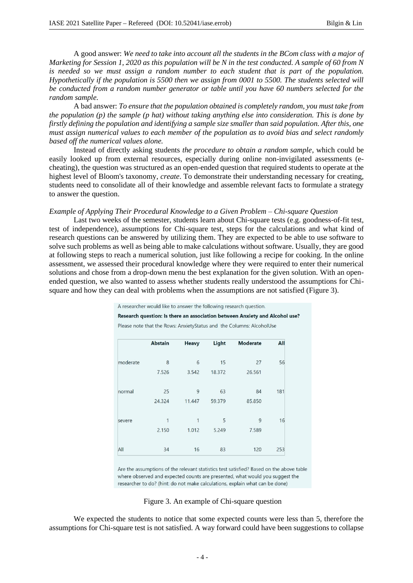A good answer: *We need to take into account all the students in the BCom class with a major of Marketing for Session 1, 2020 as this population will be N in the test conducted. A sample of 60 from N is needed so we must assign a random number to each student that is part of the population. Hypothetically if the population is 5500 then we assign from 0001 to 5500. The students selected will be conducted from a random number generator or table until you have 60 numbers selected for the random sample.*

A bad answer: *To ensure that the population obtained is completely random, you must take from the population (p) the sample (p hat) without taking anything else into consideration. This is done by firstly defining the population and identifying a sample size smaller than said population. After this, one must assign numerical values to each member of the population as to avoid bias and select randomly based off the numerical values alone.*

Instead of directly asking students *the procedure to obtain a random sample*, which could be easily looked up from external resources, especially during online non-invigilated assessments (echeating), the question was structured as an open-ended question that required students to operate at the highest level of Bloom's taxonomy, *create*. To demonstrate their understanding necessary for creating, students need to consolidate all of their knowledge and assemble relevant facts to formulate a strategy to answer the question.

#### *Example of Applying Their Procedural Knowledge to a Given Problem – Chi-square Question*

Last two weeks of the semester, students learn about Chi-square tests (e.g. goodness-of-fit test, test of independence), assumptions for Chi-square test, steps for the calculations and what kind of research questions can be answered by utilizing them. They are expected to be able to use software to solve such problems as well as being able to make calculations without software. Usually, they are good at following steps to reach a numerical solution, just like following a recipe for cooking. In the online assessment, we assessed their procedural knowledge where they were required to enter their numerical solutions and chose from a drop-down menu the best explanation for the given solution. With an openended question, we also wanted to assess whether students really understood the assumptions for Chisquare and how they can deal with problems when the assumptions are not satisfied (Figure 3).

A researcher would like to answer the following research question.

Research question: Is there an association between Anxiety and Alcohol use?

Please note that the Rows: AnxietyStatus and the Columns: AlcoholUse

|          | <b>Abstain</b> | <b>Heavy</b> | Light  | <b>Moderate</b> | All |
|----------|----------------|--------------|--------|-----------------|-----|
|          |                |              |        |                 |     |
| moderate | 8              | 6            | 15     | 27              | 56  |
|          | 7.526          | 3.542        | 18.372 | 26.561          |     |
| normal   | 25             | 9            | 63     | 84              | 181 |
|          | 24.324         | 11.447       | 59.379 | 85.850          |     |
|          |                |              |        |                 |     |
| severe   | 1              | 1            | 5      | 9               | 16  |
|          | 2.150          | 1.012        | 5.249  | 7.589           |     |
| All      | 34             | 16           | 83     | 120             | 253 |

Are the assumptions of the relevant statistics test satisfied? Based on the above table where observed and expected counts are presented, what would you suggest the researcher to do? (hint: do not make calculations, explain what can be done)

#### Figure 3. An example of Chi-square question

We expected the students to notice that some expected counts were less than 5, therefore the assumptions for Chi-square test is not satisfied. A way forward could have been suggestions to collapse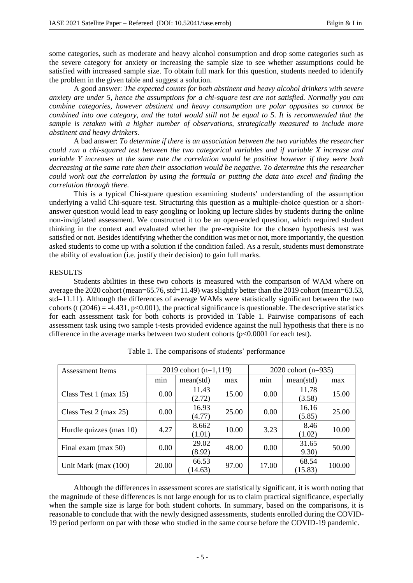some categories, such as moderate and heavy alcohol consumption and drop some categories such as the severe category for anxiety or increasing the sample size to see whether assumptions could be satisfied with increased sample size. To obtain full mark for this question, students needed to identify the problem in the given table and suggest a solution.

A good answer: *The expected counts for both abstinent and heavy alcohol drinkers with severe anxiety are under 5, hence the assumptions for a chi-square test are not satisfied. Normally you can combine categories, however abstinent and heavy consumption are polar opposites so cannot be combined into one category, and the total would still not be equal to 5. It is recommended that the sample is retaken with a higher number of observations, strategically measured to include more abstinent and heavy drinkers.*

A bad answer: *To determine if there is an association between the two variables the researcher could run a chi-squared test between the two categorical variables and if variable X increase and variable Y increases at the same rate the correlation would be positive however if they were both decreasing at the same rate then their association would be negative. To determine this the researcher could work out the correlation by using the formula or putting the data into excel and finding the correlation through there.*

This is a typical Chi-square question examining students' understanding of the assumption underlying a valid Chi-square test. Structuring this question as a multiple-choice question or a shortanswer question would lead to easy googling or looking up lecture slides by students during the online non-invigilated assessment. We constructed it to be an open-ended question, which required student thinking in the context and evaluated whether the pre-requisite for the chosen hypothesis test was satisfied or not. Besides identifying whether the condition was met or not, more importantly, the question asked students to come up with a solution if the condition failed. As a result, students must demonstrate the ability of evaluation (i.e. justify their decision) to gain full marks.

### RESULTS

Students abilities in these two cohorts is measured with the comparison of WAM where on average the 2020 cohort (mean=65.76, std=11.49) was slightly better than the 2019 cohort (mean=63.53, std=11.11). Although the differences of average WAMs were statistically significant between the two cohorts (t (2046) = -4.431, p<0.001), the practical significance is questionable. The descriptive statistics for each assessment task for both cohorts is provided in Table 1. Pairwise comparisons of each assessment task using two sample t-tests provided evidence against the null hypothesis that there is no difference in the average marks between two student cohorts  $(p<0.0001$  for each test).

| <b>Assessment Items</b>    | 2019 cohort $(n=1,119)$ |                  |       | 2020 cohort $(n=935)$ |                  |        |
|----------------------------|-------------------------|------------------|-------|-----------------------|------------------|--------|
|                            | $\cdot$<br>mnn          | mean(std)        | max   | min                   | mean(std)        | max    |
| Class Test $1$ (max 15)    | 0.00                    | 11.43<br>(2.72)  | 15.00 | 0.00                  | 11.78<br>(3.58)  | 15.00  |
| Class Test $2$ (max $25$ ) | 0.00                    | 16.93<br>(4.77)  | 25.00 | 0.00                  | 16.16<br>(5.85)  | 25.00  |
| Hurdle quizzes (max 10)    | 4.27                    | 8.662<br>(1.01)  | 10.00 | 3.23                  | 8.46<br>(1.02)   | 10.00  |
| Final exam (max 50)        | 0.00                    | 29.02<br>(8.92)  | 48.00 | 0.00                  | 31.65<br>9.30)   | 50.00  |
| Unit Mark (max $(100)$ )   | 20.00                   | 66.53<br>(14.63) | 97.00 | 17.00                 | 68.54<br>(15.83) | 100.00 |

Table 1. The comparisons of students' performance

Although the differences in assessment scores are statistically significant, it is worth noting that the magnitude of these differences is not large enough for us to claim practical significance, especially when the sample size is large for both student cohorts. In summary, based on the comparisons, it is reasonable to conclude that with the newly designed assessments, students enrolled during the COVID-19 period perform on par with those who studied in the same course before the COVID-19 pandemic.